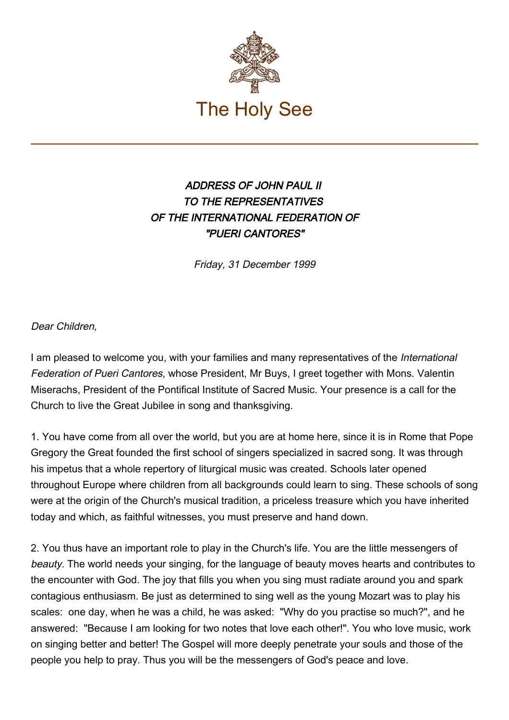

## ADDRESS OF JOHN PAUL II TO THE REPRESENTATIVES OF THE INTERNATIONAL FEDERATION OF "PUERI CANTORES"

Friday, 31 December 1999

Dear Children,

I am pleased to welcome you, with your families and many representatives of the International Federation of Pueri Cantores, whose President, Mr Buys, I greet together with Mons. Valentin Miserachs, President of the Pontifical Institute of Sacred Music. Your presence is a call for the Church to live the Great Jubilee in song and thanksgiving.

1. You have come from all over the world, but you are at home here, since it is in Rome that Pope Gregory the Great founded the first school of singers specialized in sacred song. It was through his impetus that a whole repertory of liturgical music was created. Schools later opened throughout Europe where children from all backgrounds could learn to sing. These schools of song were at the origin of the Church's musical tradition, a priceless treasure which you have inherited today and which, as faithful witnesses, you must preserve and hand down.

2. You thus have an important role to play in the Church's life. You are the little messengers of beauty. The world needs your singing, for the language of beauty moves hearts and contributes to the encounter with God. The joy that fills you when you sing must radiate around you and spark contagious enthusiasm. Be just as determined to sing well as the young Mozart was to play his scales: one day, when he was a child, he was asked: "Why do you practise so much?", and he answered: "Because I am looking for two notes that love each other!". You who love music, work on singing better and better! The Gospel will more deeply penetrate your souls and those of the people you help to pray. Thus you will be the messengers of God's peace and love.